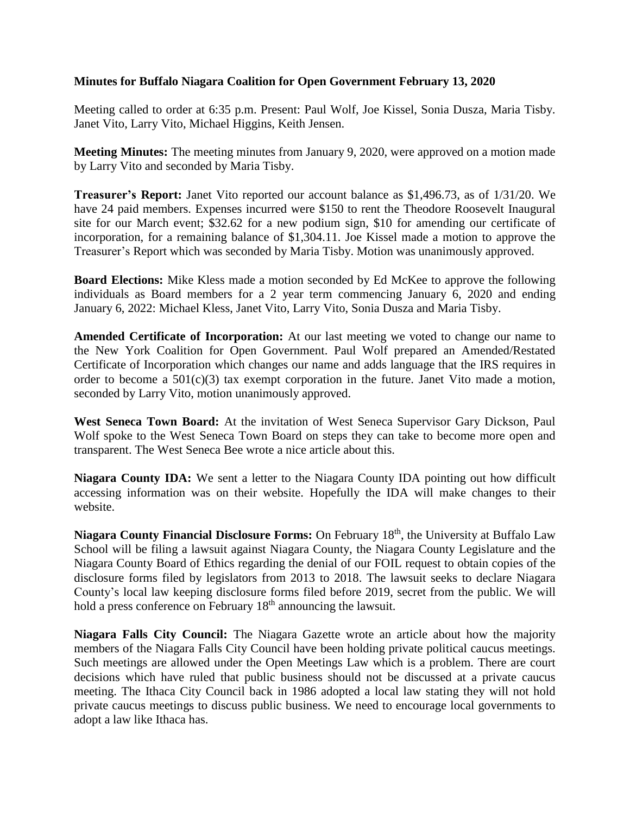## **Minutes for Buffalo Niagara Coalition for Open Government February 13, 2020**

Meeting called to order at 6:35 p.m. Present: Paul Wolf, Joe Kissel, Sonia Dusza, Maria Tisby. Janet Vito, Larry Vito, Michael Higgins, Keith Jensen.

**Meeting Minutes:** The meeting minutes from January 9, 2020, were approved on a motion made by Larry Vito and seconded by Maria Tisby.

**Treasurer's Report:** Janet Vito reported our account balance as \$1,496.73, as of 1/31/20. We have 24 paid members. Expenses incurred were \$150 to rent the Theodore Roosevelt Inaugural site for our March event; \$32.62 for a new podium sign, \$10 for amending our certificate of incorporation, for a remaining balance of \$1,304.11. Joe Kissel made a motion to approve the Treasurer's Report which was seconded by Maria Tisby. Motion was unanimously approved.

**Board Elections:** Mike Kless made a motion seconded by Ed McKee to approve the following individuals as Board members for a 2 year term commencing January 6, 2020 and ending January 6, 2022: Michael Kless, Janet Vito, Larry Vito, Sonia Dusza and Maria Tisby.

**Amended Certificate of Incorporation:** At our last meeting we voted to change our name to the New York Coalition for Open Government. Paul Wolf prepared an Amended/Restated Certificate of Incorporation which changes our name and adds language that the IRS requires in order to become a  $501(c)(3)$  tax exempt corporation in the future. Janet Vito made a motion, seconded by Larry Vito, motion unanimously approved.

**West Seneca Town Board:** At the invitation of West Seneca Supervisor Gary Dickson, Paul Wolf spoke to the West Seneca Town Board on steps they can take to become more open and transparent. The West Seneca Bee wrote a nice article about this.

**Niagara County IDA:** We sent a letter to the Niagara County IDA pointing out how difficult accessing information was on their website. Hopefully the IDA will make changes to their website.

**Niagara County Financial Disclosure Forms:** On February 18th , the University at Buffalo Law School will be filing a lawsuit against Niagara County, the Niagara County Legislature and the Niagara County Board of Ethics regarding the denial of our FOIL request to obtain copies of the disclosure forms filed by legislators from 2013 to 2018. The lawsuit seeks to declare Niagara County's local law keeping disclosure forms filed before 2019, secret from the public. We will hold a press conference on February 18<sup>th</sup> announcing the lawsuit.

**Niagara Falls City Council:** The Niagara Gazette wrote an article about how the majority members of the Niagara Falls City Council have been holding private political caucus meetings. Such meetings are allowed under the Open Meetings Law which is a problem. There are court decisions which have ruled that public business should not be discussed at a private caucus meeting. The Ithaca City Council back in 1986 adopted a local law stating they will not hold private caucus meetings to discuss public business. We need to encourage local governments to adopt a law like Ithaca has.